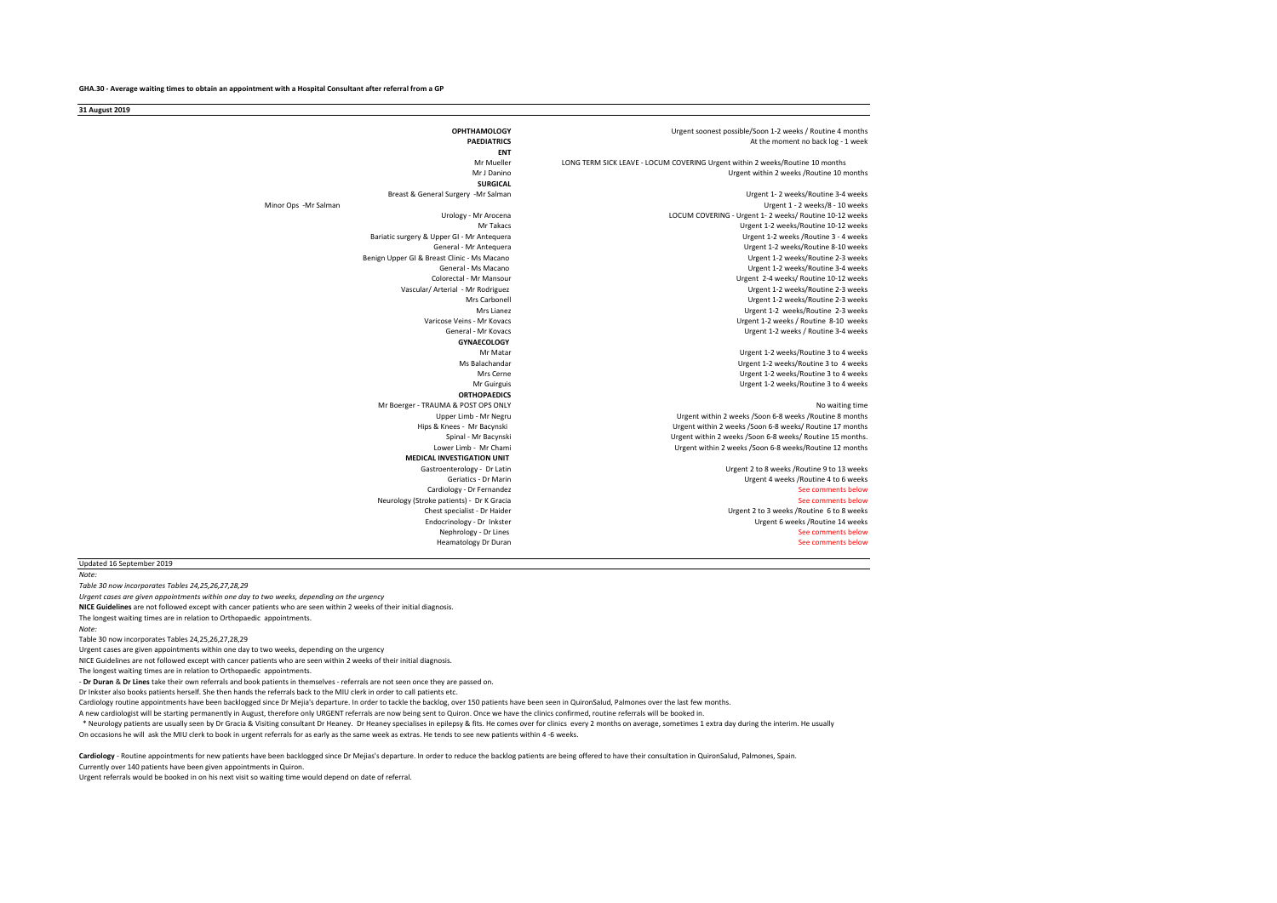| 31 August 2019                              |                                                                               |
|---------------------------------------------|-------------------------------------------------------------------------------|
| <b>OPHTHAMOLOGY</b>                         | Urgent soonest possible/Soon 1-2 weeks / Routine 4 months                     |
| <b>PAEDIATRICS</b>                          | At the moment no back log - 1 week                                            |
| <b>ENT</b>                                  |                                                                               |
| Mr Mueller                                  | LONG TERM SICK LEAVE - LOCUM COVERING Urgent within 2 weeks/Routine 10 months |
| Mr J Danino                                 | Urgent within 2 weeks / Routine 10 months                                     |
| <b>SURGICAL</b>                             |                                                                               |
| Breast & General Surgery -Mr Salman         | Urgent 1-2 weeks/Routine 3-4 weeks                                            |
| Minor Ops -Mr Salman                        | Urgent 1 - 2 weeks/8 - 10 weeks                                               |
| Urology - Mr Arocena                        | LOCUM COVERING - Urgent 1- 2 weeks/ Routine 10-12 weeks                       |
| Mr Takacs                                   | Urgent 1-2 weeks/Routine 10-12 weeks                                          |
| Bariatic surgery & Upper GI - Mr Antequera  | Urgent 1-2 weeks / Routine 3 - 4 weeks                                        |
| General - Mr Antequera                      | Urgent 1-2 weeks/Routine 8-10 weeks                                           |
| Benign Upper GI & Breast Clinic - Ms Macano | Urgent 1-2 weeks/Routine 2-3 weeks                                            |
| General - Ms Macano                         | Urgent 1-2 weeks/Routine 3-4 weeks                                            |
| Colorectal - Mr Mansour                     | Urgent 2-4 weeks/ Routine 10-12 weeks                                         |
| Vascular/ Arterial - Mr Rodriguez           | Urgent 1-2 weeks/Routine 2-3 weeks                                            |
| Mrs Carbonell                               | Urgent 1-2 weeks/Routine 2-3 weeks                                            |
| Mrs Lianez                                  | Urgent 1-2 weeks/Routine 2-3 weeks                                            |
| Varicose Veins - Mr Kovacs                  | Urgent 1-2 weeks / Routine 8-10 weeks                                         |
| General - Mr Kovacs                         | Urgent 1-2 weeks / Routine 3-4 weeks                                          |
| <b>GYNAECOLOGY</b>                          |                                                                               |
| Mr Matar                                    | Urgent 1-2 weeks/Routine 3 to 4 weeks                                         |
| Ms Balachandar                              | Urgent 1-2 weeks/Routine 3 to 4 weeks                                         |
| Mrs Cerne                                   | Urgent 1-2 weeks/Routine 3 to 4 weeks                                         |
| Mr Guirguis                                 | Urgent 1-2 weeks/Routine 3 to 4 weeks                                         |
| <b>ORTHOPAEDICS</b>                         |                                                                               |
| Mr Boerger - TRAUMA & POST OPS ONLY         | No waiting time                                                               |
| Upper Limb - Mr Negru                       | Urgent within 2 weeks /Soon 6-8 weeks /Routine 8 months                       |
| Hips & Knees - Mr Bacynski                  | Urgent within 2 weeks /Soon 6-8 weeks/ Routine 17 months                      |
| Spinal - Mr Bacynski                        | Urgent within 2 weeks /Soon 6-8 weeks/ Routine 15 months.                     |
| Lower Limb - Mr Chami                       | Urgent within 2 weeks /Soon 6-8 weeks/Routine 12 months                       |
| <b>MEDICAL INVESTIGATION UNIT</b>           |                                                                               |
| Gastroenterology - Dr Latin                 | Urgent 2 to 8 weeks / Routine 9 to 13 weeks                                   |
| Geriatics - Dr Marin                        | Urgent 4 weeks / Routine 4 to 6 weeks                                         |
| Cardiology - Dr Fernandez                   | See comments below                                                            |
| Neurology (Stroke patients) - Dr K Gracia   | See comments below                                                            |
| Chest specialist - Dr Haider                | Urgent 2 to 3 weeks / Routine 6 to 8 weeks                                    |
| Endocrinology - Dr Inkster                  | Urgent 6 weeks / Routine 14 weeks                                             |
| Nephrology - Dr Lines                       | See comments below                                                            |
| <b>Heamatology Dr Duran</b>                 | See comments below                                                            |

Updated 16 September 2019

*Note:* 

*Table 30 now incorporates Tables 24,25,26,27,28,29*

*Urgent cases are given appointments within one day to two weeks, depending on the urgency*

**NICE Guidelines** are not followed except with cancer patients who are seen within 2 weeks of their initial diagnosis.

The longest waiting times are in relation to Orthopaedic appointments.

*Note:* 

Table 30 now incorporates Tables 24,25,26,27,28,29

Urgent cases are given appointments within one day to two weeks, depending on the urgency

NICE Guidelines are not followed except with cancer patients who are seen within 2 weeks of their initial diagnosis.

The longest waiting times are in relation to Orthopaedic appointments.

- **Dr Duran** & **Dr Lines** take their own referrals and book patients in themselves - referrals are not seen once they are passed on.

Dr Inkster also books patients herself. She then hands the referrals back to the MIU clerk in order to call patients etc.

Cardiology routine appointments have been backlogged since Dr Mejia's departure. In order to tackle the backlog, over 150 patients have been seen in QuironSalud, Palmones over the last few months.

A new cardiologist will be starting permanently in August, therefore only URGENT referrals are now being sent to Quiron. Once we have the clinics confirmed, routine referrals will be booked in.

On occasions he will ask the MIU clerk to book in urgent referrals for as early as the same week as extras. He tends to see new patients within 4 -6 weeks. \* Neurology patients are usually seen by Dr Gracia & Visiting consultant Dr Heaney. Dr Heaney specialises in epilepsy & fits. He comes over for clinics every 2 months on average, sometimes 1 extra day during the interim. H

Cardiology - Routine appointments for new patients have been backlogged since Dr Mejias's departure. In order to reduce the backlog patients are being offered to have their consultation in QuironSalud, Palmones, Spain.

Currently over 140 patients have been given appointments in Quiron.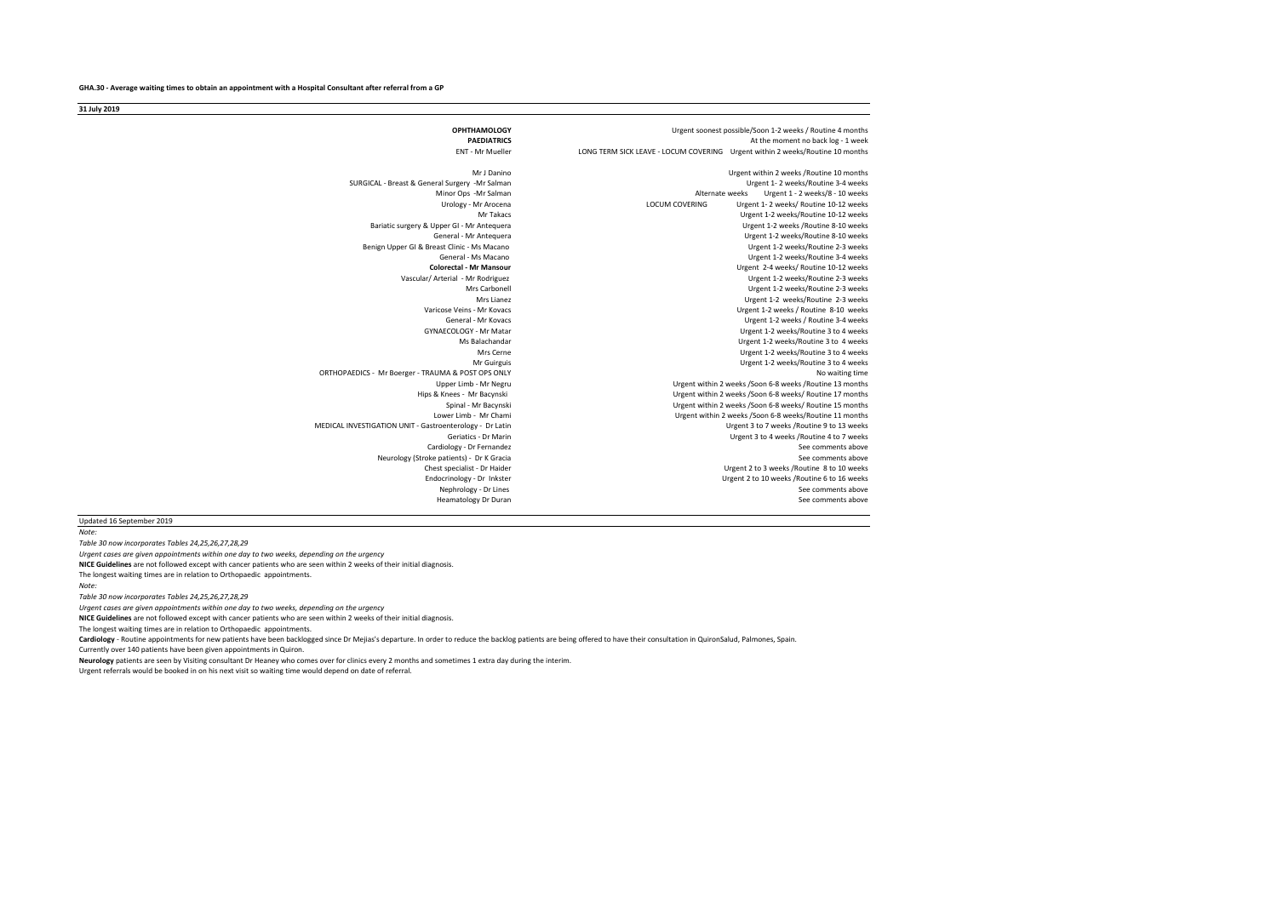**OPHTHAMOLOGY**<br> **OPHTHAMOLOGY**<br> **ALLY DESCRIPTION ASSESS AND A MODEL OF A MODEL OF A MODEL OF A MODEL OF A MODEL OF A MODEL OF A MODEL OF A MODEL OF A MODEL OF A MODEL OF A MODEL OF A MODEL OF A MODEL OF A MODEL OF A MODEL** PAEDIATRICS<br> **PAEDIATRICS** At the moment no back log - 1 week<br>
I ONG TERM SICK LEAVE - LOCUM COVERING Literent within 2 weeks/Routine 10 months LONG TERM SICK LEAVE - LOCUM COVERING Urgent within 2 weeks/Routine 10 months Mr J Danino **Mr J Danino 10 months**<br>Urgent 1-2 weeks/Routine 3-4 weeks /<br>Urgent 1-2 weeks/Routine 3-4 weeks SURGICAL - Breast & General Surgery -Mr Salman<br>Minor Ops -Mr Salman Minor Ops -Mr Salman <br>Minor Ops -Mr Salman Alternate weeks Urgent 1 - 2 weeks/8 - 10 weeks<br>Urgent 1 - 2 weeks/ Routine 10-12 weeks Urgent 1- 2 weeks/ Routine 10-12 weeks<br>Mr Takacs - Mr Arocena LOCUM COVERING Urgent 1-2 weeks/ Routine 10-12 weeks Urgent 1-2 weeks/Routine 10-12 weeks<br>Urgent 1-2 weeks /Routine 8-10 weeks Bariatic surgery & Upper GI - Mr Antequera<br>General - Mr Antequera Urgent 1-2 weeks/Routine 8-10 weeks<br>Urgent 1-2 weeks/Routine 2-3 weeks Benign Upper GI & Breast Clinic - Ms Macano<br>General - Ms Macano General - Ms Macano **Channel Accord Controller and Channel Accord Controller** Urgent 1-2 weeks/Routine 3-4 weeks<br>Urgent 2-4 weeks/Routine 10-12 weeks **Colorectal - Mr Mansour** Urgent 2-4 weeks/ Routine 10-12 weeks Vascular/ Arterial - Mr Rodriguez Urgent 1-2 weeks/Routine 2-3 weeks<br>
Mrs Carbonell<br>
Urgent 1-2 weeks/Routine 2-3 weeks Urgent 1-2 weeks/Routine 2-3 weeks Mrs Lianez<br>
Mrs Lianez Carrios Anthropolis - Mrs Lianez<br>
Urgent 1-2 weeks/Routine 8-10 weeks Varia - Mr Kovacs **Varia - Mr Kovacs** Urgent 1-2 weeks / Routine 8-10 weeks<br>Ceneral - Mr Kovacs Urgent 1-2 weeks / Routine 3-4 weeks General - Mr Kovacs<br>GYNAECOLOGY - Mr Matar and Data and Data and Data and Data and Data and Data and Data and Data and Data and D<br>Urgent 1-2 weeks/Routine 3 to 4 weeks EXAECOLOGY - Mr Matar Matar Colombia 2 to 4 weeks/Routine 3 to 4 weeks/Notine 3 to 4 weeks/<br>
Mrs Balachandar Matar Matar Urgent 1-2 weeks/Routine 3 to 4 weeks Malachandar and the state of the Urgent 1-2 weeks/Routine 3 to 4 weeks<br>Mrs Gerne and the Urgent 1-2 weeks/Routine 3 to 4 weeks Mrs Cerne Urgent 1-2 weeks/Routine 3 to 4 weeks<br>Mr Guirguis Communications of the Urgent 1-2 weeks/Routine 3 to 4 weeks Urgent 1-2 weeks/Routine 3 to 4 weeks<br>No waiting time ORTHOPAEDICS - Mr Boerger - TRAUMA & POST OPS ONLY<br>Upper Limb - Mr Negru Upper Limb - Mr Negru<br>Urgent within 2 weeks /Soon 6-8 weeks /Routine 13 months<br>Urgent within 2 weeks /Soon 6-8 weeks/ Routine 17 months Hips & Knees - Mr Bacynski Urgent within 2 weeks /Soon 6-8 weeks/ Routine 17 months Spinal - Mr Bacynski Spinal - Mr Bacynski Chrometers of Muslim 2 weeks / Soon 6-8 weeks/ Routine 15 months<br>Urgent within 2 weeks / Soon 6-8 weeks/ Routine 11 months Urgent within 2 weeks /Soon 6-8 weeks/Routine 11 months<br>Urgent 3 to 7 weeks /Routine 9 to 13 weeks MEDICAL INVESTIGATION UNIT - Gastroenterology - Dr Latin<br>Geriatics - Dr Marin Urgent 3 to 4 weeks /Routine 4 to 7 weeks Cardiology - Dr Fernandez<br>
Cardiology - Dr Ernandez<br>
See comments above See comments above See comments above Neurology (Stroke patients) - Dr K Gracia<br>Chest specialist - Dr Haider Chest specialist - Dr Haider Chest specialist - Dr Haider Chest School and Chest School and Chest School and C<br>Chest specialist - Dr Inkster Chest Chest Chest Chest (Urgent 2 to 10 weeks /Routine 6 to 16 weeks Urgent 2 to 10 weeks /Routine 6 to 16 weeks Nephrology - Dr Lines **New York Constructs above** See comments above See comments above See comments above See comments above See comments above See comments above See comments above See comments above See comments above S Heamatology Dr Duran

**31 July 2019**

#### Updated 16 September 2019

*Note:* 

*Table 30 now incorporates Tables 24,25,26,27,28,29*

*Urgent cases are given appointments within one day to two weeks, depending on the urgency*

**NICE Guidelines** are not followed except with cancer patients who are seen within 2 weeks of their initial diagnosis. The longest waiting times are in relation to Orthopaedic appointments.

*Note:* 

*Table 30 now incorporates Tables 24,25,26,27,28,29*

*Urgent cases are given appointments within one day to two weeks, depending on the urgency*

**NICE Guidelines** are not followed except with cancer patients who are seen within 2 weeks of their initial diagnosis.

The longest waiting times are in relation to Orthopaedic appointments.

Cardiology - Routine appointments for new patients have been backlogged since Dr Mejias's departure. In order to reduce the backlog patients are being offered to have their consultation in QuironSalud, Palmones, Spain.

Currently over 140 patients have been given appointments in Quiron.

**Neurology** patients are seen by Visiting consultant Dr Heaney who comes over for clinics every 2 months and sometimes 1 extra day during the interim.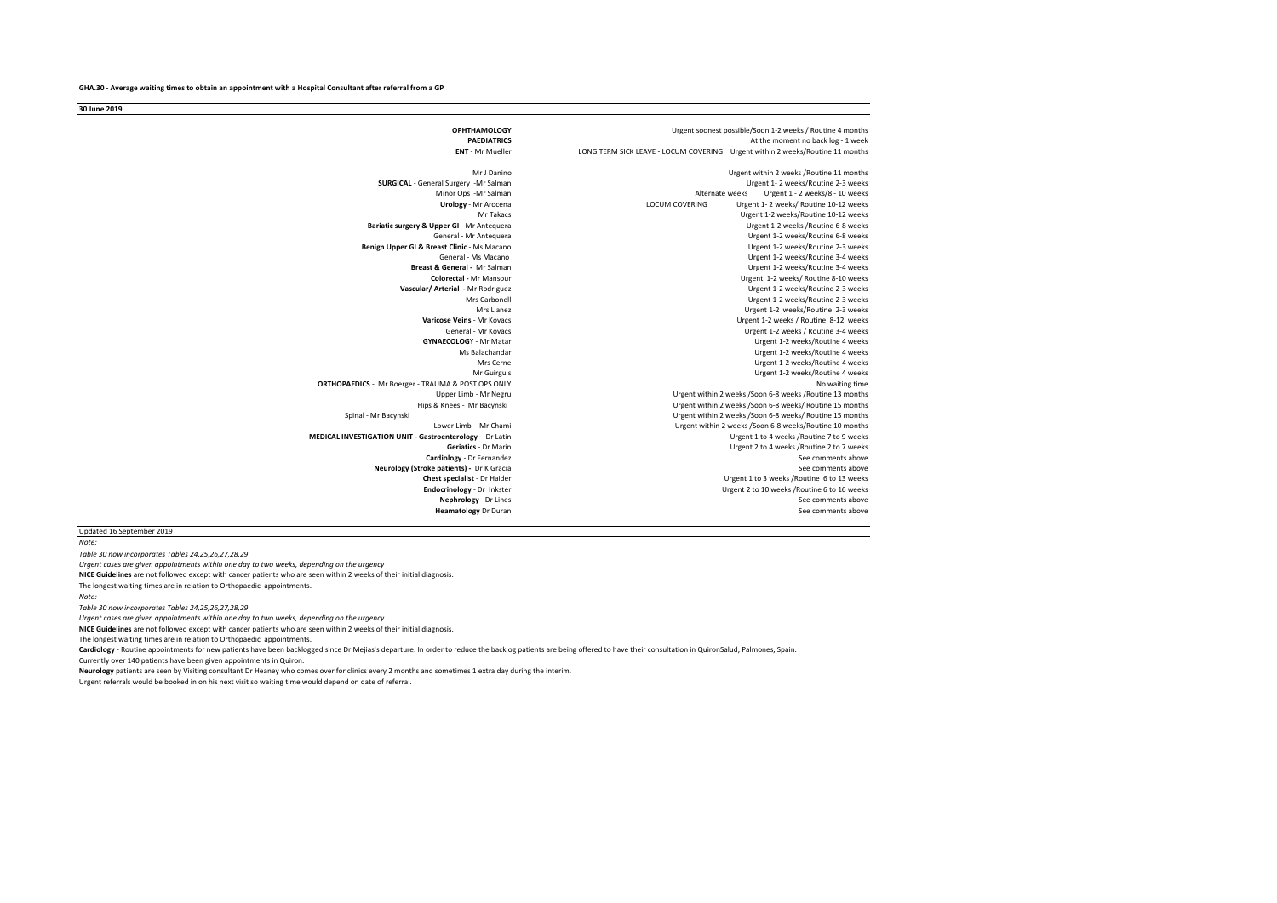**30 June 2019**

**OPHTHAMOLOGY**<br> **OPHTHAMOLOGY**<br> **ALLY DESCRIPTION ASSESS AND A MODEL OF A MODEL OF A MODEL OF A MODEL OF A MODEL OF A MODEL OF A MODEL OF A MODEL OF A MODEL OF A MODEL OF A MODEL OF A MODEL OF A MODEL OF A MODEL OF A MODEL** PAEDIATRICS<br> **PAEDIATRICS** At the moment no back log - 1 week<br> **ENT** - Mr Mueller **At the moment of the COVER COVERING** Urgent within 2 weeks/Routine 11 months **LONG TERM SICK LEAVE - LOCUM COVERING Urgent within 2 weeks/Routine 11 months** Mr J Danino **Mr J Danino 11 months**<br>Urgent 1-2 weeks /Routine 2-3 weeks /<br>Urgent 1-2 weeks /Routine 2-3 weeks **SURGICAL** - General Surgery -Mr Salman Minor Ops -Mr Salman <br>
Urgent 1 - 2 weeks/8 - 10 weeks<br>
Urgent 1 - 2 weeks/ Routine 10-12 weeks **Urology** - Mr Arocena LOCUM COVERING Urgent 1- 2 weeks/ Routine 10-12 weeks Urgent 1-2 weeks/Routine 10-12 weeks<br>Urgent 1-2 weeks /Routine 6-8 weeks **Bariatic surgery & Upper GI** - Mr Antequera<br>General - Mr Antequera Urgent 1-2 weeks/Routine 6-8 weeks<br>Urgent 1-2 weeks/Routine 2-3 weeks **Benign Upper GI & Breast Clinic - Ms Macano General - Ms Macano** General - Ms Macano Christianus - Seneral - Ms Macano Urgent 1-2 weeks/Routine 3-4 weeks<br>Breast & General - Mr Salman Christianus - Urgent 1-2 weeks/Routine 3-4 weeks **Breameral - Mr Salman Communisty Communisty Communisty Communisty Communisty Communisty Communisty Communisty**<br>Colorectal - Mr Mansour Colorectal - Mr Mansour **Colorectal - Mr Mansour** Urgent 1-2 weeks/ Routine 8-10 weeks<br>Urgent 1-2 weeks/ Routine 2-3 weeks **Urgent 1-2 weeks/Routine 2-3 weeks** Mrs Carbonell Urgent 1-2 weeks/Routine 2-3 weeks<br>Mrs Lianez Mrs Lianez<br>Urgent 1-2 weeks/Routine 2-3 weeks Mrs Lianez<br>Mrs Linnez Urgent 1-2 weeks/Routine 2-3 weeks<br>
Urgent 1-2 weeks/Routine 2-12 weeks/Routine 2-12 weeks/ **Se Veins** - Mr Kovacs<br>General - Mr Kovacs Now the Second Discovery of the Urgent 1-2 weeks / Routine 8-12 weeks / Routine 3-4 weeks General - Mr Kovacs General - Mr Kovacs Communication Communication Communication Communication Communication C<br>GYNAECOLOGY - Mr Matar Communication Communication Communication Communication Communication Communication Com **COLOG**Y - Mr Matar **COLOGOS** - Mr Matar Urgent 1-2 weeks/Routine 4 weeks<br>
Mrs Balachandar **Urgent 1-2 weeks/Routine 4 weeks** Urgent 1-2 weeks/Routine 4 weeks Mrs Cerne Cerne Urgent 1-2 weeks/Routine 4 weeks<br>Mr Guirguis Cerne Urgent 1-2 weeks/Routine 4 weeks Urgent 1-2 weeks/Routine 4 weeks o**RTHOPAEDICS** - Mr Boerger - TRAUMA & POST OPS ONLY<br>Upper Limb - Mr Negru Urgent within 2 weeks /Soon 6-8 weeks /Routine 13 months Hips & Knees - Mr Bacynski Urgent within 2 weeks /Soon 6-8 weeks/ Routine 15 months Spinal - Mr Bacynski<br>
1 Spinal - Mr Bacynski Lower Limb - Mr Chami<br>
1 Irgent within 2 weeks /Soon 6-8 weeks/ Routine 10 months Urgent within 2 weeks /Soon 6-8 weeks/Routine 10 months<br>Urgent 1 to 4 weeks /Routine 7 to 9 weeks **MEDICAL INVESTIGATION UNIT - Gastroenterology - Dr Latin URGENT 1 CONCERT**<br>Geriatics - Dr Marin Urgent 2 to 4 weeks /Routine 2 to 7 weeks<br>See comments above **Cardiology** - Dr Fernandez See comments above See comments above See comments above See comments above See comments above See comments above See comments above See comments above See comments above See comments above See **Neurology (Stroke patients) - Dr K Gracia**<br>**Chest specialist - Dr Haider Chest specialist** - Dr Haider **Chest specialist** - Dr Haider **Chest specialist** - Dr Haider **Endocrinology** - Dr Inkster **Endocrinology** - Dr Inkster **Endocrinology** - Dr Inkster **Endocrinology** - Dr Inkster **Endocrinolog Endocrinology** - Dr Inkster **Endocrinology** - Dr Inkster Urgent 2 to 10 weeks /Routine 6 to 16 weeks /<br>**Nephrology** - Dr Lines **Nephrology** - Dr Lines See comments above<br>See comments above **Heamatology** Dr Duran

Updated 16 September 2019 *Note:* 

*Table 30 now incorporates Tables 24,25,26,27,28,29* **NICE Guidelines** are not followed except with cancer patients who are seen within 2 weeks of their initial diagnosis. *Urgent cases are given appointments within one day to two weeks, depending on the urgency*

The longest waiting times are in relation to Orthopaedic appointments. *Note:* 

*Table 30 now incorporates Tables 24,25,26,27,28,29*

*Urgent cases are given appointments within one day to two weeks, depending on the urgency*

**NICE Guidelines** are not followed except with cancer patients who are seen within 2 weeks of their initial diagnosis.

The longest waiting times are in relation to Orthopaedic appointments.

Cardiology - Routine appointments for new patients have been backlogged since Dr Meijas's departure. In order to reduce the backlog patients are being offered to have their consultation in QuironSalud, Palmones, Spain.

Currently over 140 patients have been given appointments in Quiron.

**Neurology** patients are seen by Visiting consultant Dr Heaney who comes over for clinics every 2 months and sometimes 1 extra day during the interim.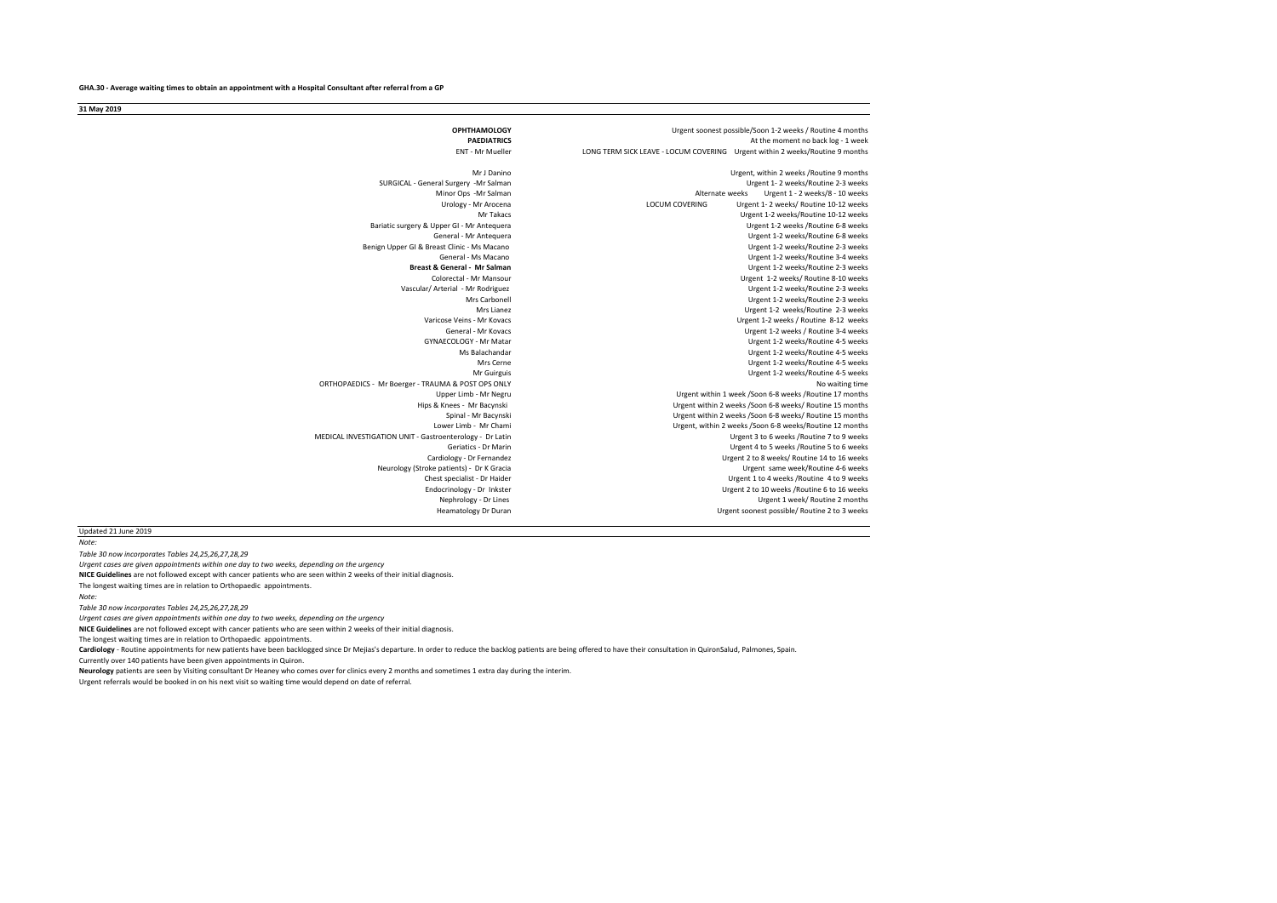**31 May 2019**

| Urgent soonest possible/Soon 1-2 weeks / Routine 4 months                    | <b>OPHTHAMOLOGY</b>                                      |
|------------------------------------------------------------------------------|----------------------------------------------------------|
| At the moment no back log - 1 week                                           | <b>PAEDIATRICS</b>                                       |
| LONG TERM SICK LEAVE - LOCUM COVERING Urgent within 2 weeks/Routine 9 months | <b>ENT - Mr Mueller</b>                                  |
| Urgent, within 2 weeks / Routine 9 months                                    | Mr J Danino                                              |
| Urgent 1-2 weeks/Routine 2-3 weeks                                           | SURGICAL - General Surgery -Mr Salman                    |
| Alternate weeks<br>Urgent 1 - 2 weeks/8 - 10 weeks                           | Minor Ops -Mr Salman                                     |
| <b>LOCUM COVERING</b><br>Urgent 1-2 weeks/ Routine 10-12 weeks               | Urology - Mr Arocena                                     |
| Urgent 1-2 weeks/Routine 10-12 weeks                                         | Mr Takacs                                                |
| Urgent 1-2 weeks / Routine 6-8 weeks                                         | Bariatic surgery & Upper GI - Mr Antequera               |
| Urgent 1-2 weeks/Routine 6-8 weeks                                           | General - Mr Antequera                                   |
| Urgent 1-2 weeks/Routine 2-3 weeks                                           | Benign Upper GI & Breast Clinic - Ms Macano              |
| Urgent 1-2 weeks/Routine 3-4 weeks                                           | General - Ms Macano                                      |
| Urgent 1-2 weeks/Routine 2-3 weeks                                           | Breast & General - Mr Salman                             |
| Urgent 1-2 weeks/ Routine 8-10 weeks                                         | Colorectal - Mr Mansour                                  |
| Urgent 1-2 weeks/Routine 2-3 weeks                                           | Vascular/ Arterial - Mr Rodriguez                        |
| Urgent 1-2 weeks/Routine 2-3 weeks                                           | Mrs Carbonell                                            |
| Urgent 1-2 weeks/Routine 2-3 weeks                                           | Mrs Lianez                                               |
| Urgent 1-2 weeks / Routine 8-12 weeks                                        | Varicose Veins - Mr Kovacs                               |
| Urgent 1-2 weeks / Routine 3-4 weeks                                         | General - Mr Kovacs                                      |
| Urgent 1-2 weeks/Routine 4-5 weeks                                           | GYNAFCOLOGY - Mr Matar                                   |
| Urgent 1-2 weeks/Routine 4-5 weeks                                           | Ms Balachandar                                           |
| Urgent 1-2 weeks/Routine 4-5 weeks                                           | Mrs Cerne                                                |
| Urgent 1-2 weeks/Routine 4-5 weeks                                           | Mr Guirguis                                              |
| No waiting time                                                              | ORTHOPAEDICS - Mr Boerger - TRAUMA & POST OPS ONLY       |
| Urgent within 1 week /Soon 6-8 weeks /Routine 17 months                      | Upper Limb - Mr Negru                                    |
| Urgent within 2 weeks /Soon 6-8 weeks/ Routine 15 months                     | Hips & Knees - Mr Bacynski                               |
| Urgent within 2 weeks /Soon 6-8 weeks/ Routine 15 months                     | Spinal - Mr Bacynski                                     |
| Urgent, within 2 weeks /Soon 6-8 weeks/Routine 12 months                     | Lower Limb - Mr Chami                                    |
| Urgent 3 to 6 weeks / Routine 7 to 9 weeks                                   | MEDICAL INVESTIGATION UNIT - Gastroenterology - Dr Latin |
| Urgent 4 to 5 weeks / Routine 5 to 6 weeks                                   | Geriatics - Dr Marin                                     |
| Urgent 2 to 8 weeks/ Routine 14 to 16 weeks                                  | Cardiology - Dr Fernandez                                |
| Urgent same week/Routine 4-6 weeks                                           | Neurology (Stroke patients) - Dr K Gracia                |
| Urgent 1 to 4 weeks / Routine 4 to 9 weeks                                   | Chest specialist - Dr Haider                             |
| Urgent 2 to 10 weeks / Routine 6 to 16 weeks                                 | Endocrinology - Dr Inkster                               |
| Urgent 1 week/ Routine 2 months                                              | Nephrology - Dr Lines                                    |
| Urgent soonest possible/ Routine 2 to 3 weeks                                | Heamatology Dr Duran                                     |
|                                                                              |                                                          |

Updated 21 June 2019

*Note: Table 30 now incorporates Tables 24,25,26,27,28,29* **NICE Guidelines** are not followed except with cancer patients who are seen within 2 weeks of their initial diagnosis. The longest waiting times are in relation to Orthopaedic appointments. *Urgent cases are given appointments within one day to two weeks, depending on the urgency*

*Note:* 

*Table 30 now incorporates Tables 24,25,26,27,28,29*

*Urgent cases are given appointments within one day to two weeks, depending on the urgency*

**NICE Guidelines** are not followed except with cancer patients who are seen within 2 weeks of their initial diagnosis.

The longest waiting times are in relation to Orthopaedic appointments.

Cardiology - Routine appointments for new patients have been backlogged since Dr Mejias's departure. In order to reduce the backlog patients are being offered to have their consultation in QuironSalud, Palmones, Spain.

Currently over 140 patients have been given appointments in Quiron.

**Neurology** patients are seen by Visiting consultant Dr Heaney who comes over for clinics every 2 months and sometimes 1 extra day during the interim.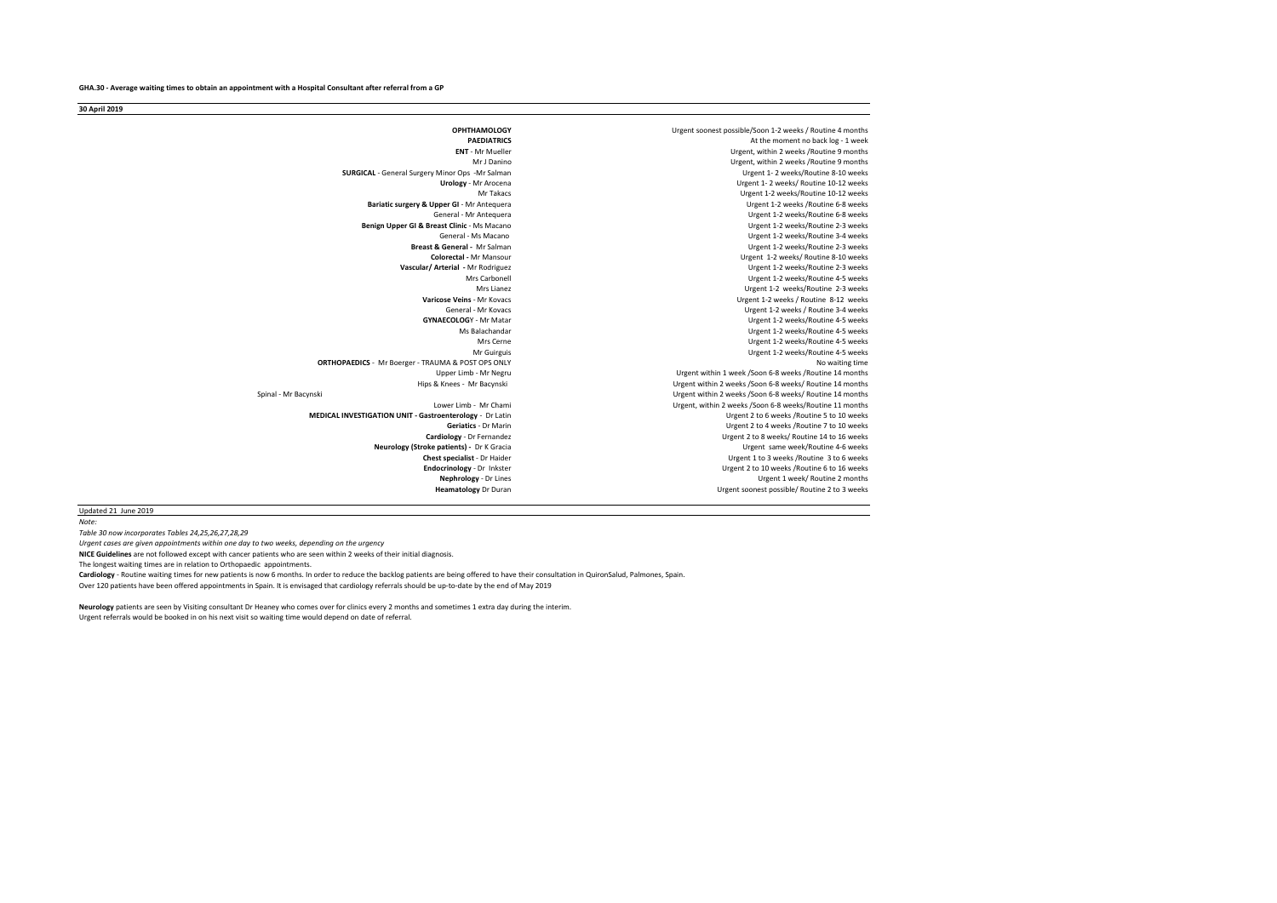**30 April 2019**

**OPHTHAMOLOGY**<br> **OPHTHAMOLOGY**<br> **DAEDIATPICS** PAEDIATRICS **PAEDIATRICS** At the moment no back log - 1 week<br>Literature of the moment no back log - 1 weeks /Routine 9 months **ENT** - Mr Mueller Urgent, within 2 weeks /Routine 9 months Urgent, within 2 weeks /Routine 9 months<br>I Freent 1- 2 weeks /Routine 8-10 weeks **SURGICAL** - General Surgery Minor Ops -Mr Salman **CONTAL**<br>Urology - Mr Arocena **Urgent 1- 2 weeks/ Routine 10-12 weeks**<br> **Urgent 1- 2 weeks/ Routine 10-12 weeks/<br>
Urgent 1-2 weeks/ Routine 10-12 weeks** Urgent 1-2 weeks/Routine 10-12 weeks<br>Urgent 1-2 weeks /Routine 6-8 weeks **Bariatic surgery & Upper GI - Mr Antequera GI - Mr** Urgent 1-2 weeks/Routine 6-8 weeks<br>Urgent 1-2 weeks/Routine 2-3 weeks **Benign Upper GI & Breast Clinic - Ms Macano Giovernal - Ms Macano** General - Ms Macano Urgent 1-2 weeks/Routine 3-4 weeks<br>
Repeat & General - Mr Salman Urgent 1-7 weeks/Routine 2-3 weeks **Breast & General -** Mr Salman Urgent 1-2 weeks/Routine 2-3 weeks Colorectal - Mr Mansour **Colorectal - Mr Mansour** Urgent 1-2 weeks/ Routine 8-10 weeks<br>Urgent 1-2 weeks/ Routine 2-3 weeks **Vascular/ Arterial -** Mr Rodriguez Urgent 1-2 weeks/Routine 2-3 weeks SCarbonell Communication of the Urgent 1-2 weeks/Routine 4-5 weeks<br>Mrs Lianez Mars Communication of the Urgent 1-2 weeks/Routine 2-3 weeks Mrs Lianez Mrs Lianez Camera Camera Camera Camera Camera Camera Camera Camera Camera Camera Camera Camera Camera Camera Camera Camera Camera Camera Camera Camera Camera Camera Camera Camera Camera Camera Camera Camera Came **Se Veins** - Mr Kovacs<br>General - Mr Kovacs **Varian Communist Communist Communist Communist Communist Communist Communist Communist Comm**<br>Urgent 1-2 weeks / Routine 3-4 weeks General - Mr Kovacs General - Mr Kovacs Communication Communication Communication Communication Communication C<br>I Irgent 1-2 weeks / Routine 4-5 weeks / Routine 4-5 weeks / Routine 4-5 weeks / Routine 4-5 weeks / Routine 4 LOGY - Mr Matar **COLOGY - Mr Matar URGA**<br>Ms Balachandar **Mr Matar Urgent 1-2 weeks/Routine 4-5 weeks** Malachandar **Malachandar** Urgent 1-2 weeks/Routine 4-5 weeks<br>Malachandar Malachandar Urgent 1-2 weeks/Routine 4-5 weeks Mrs Cerne Cerne Urgent 1-2 weeks/Routine 4-5 weeks<br>Mr Guirguis Cerne Urgent 1-2 weeks/Routine 4-5 weeks Urgent 1-2 weeks/Routine 4-5 weeks No waiting time<br>ORTHOPAEDICS - Mr Boerger - TRAUMA & POST OPS ONLY<br>Urgent within 1 week /Soon 6-8 weeks /Routine 14 months Urgent within 1 week /Soon 6-8 weeks /Routine 14 months<br>Urgent within 2 weeks /Soon 6-8 weeks/Routine 14 months Urgent within 2 weeks /Soon 6-8 weeks/ Routine 14 months Spinal - Mr Bacynski **Spinal - Mr Bacynski** Urgent within 2 weeks /Soon 6-8 weeks/ Routine 14 months<br>Lower Limb - Mr Chami **Mr Urgent within 2 weeks /Soon 6-8 weeks/Routine 11** months Urgent, within 2 weeks /Soon 6-8 weeks/Routine 11 months<br>Urgent 2 to 6 weeks /Routine 5 to 10 weeks **MEDICAL INVESTIGATION UNIT - Gastroenterology - Dr Latin URGENT 2 to 10 weeks / Gariatics - Dr Marin** Geriatics - Dr Marin Carent Carent Carent Carent Carent Carent Carent Carent Carent Carent Carent Carent Carent Carent Carent Carent Carent Carent Carent Carent Carent Carent Carent Carent Carent Carent Carent Carent Caren **Cardiology** - Urgent 2 to 8 weeks/ Routine 14 to 16 weeks **Neurology (Stroke patients) - Dr** K Gracia Urgent same week/Routine 4-6 weeks<br>Chest specialist - Dr Haider Urgent 1 to 3 weeks / Routine 3 to 6 weeks **Chest specialist** - Dr Haider **Chest specialist** - Dr Haider **Chest Specialist** - Dr Haider **Chest Specialist** - Dr Inkster **Chest Specialist** - Dr Inkster **Chest Specialist** - Dr Inkster **Chest Specialist** - Dr Inkster **Endocrinology** - Dr Inkster **Endocrinology** - Dr Inkster Urgent 2 to 10 weeks /Routine 6 to 16 weeks /Routine 2 months<br>
Urgent 1 week/ Routine 2 months **Nephrology** - Dr Lines **Nephrology** - Dr Lines **Contains the Urgent 1 week/ Routine 2 months Neamatology Dr Duran and Dr Lines and Dr Lines and Dr Lines and Dr Lines and Dr Lines and Dr Lines and Dr Lines and Dr Lines and Urgent soonest possible/ Routine 2 to 3 weeks** 

Updated 21 June 2019

*Note:* 

*Table 30 now incorporates Tables 24,25,26,27,28,29*

**NICE Guidelines** are not followed except with cancer patients who are seen within 2 weeks of their initial diagnosis. *Urgent cases are given appointments within one day to two weeks, depending on the urgency*

The longest waiting times are in relation to Orthopaedic appointments.

Cardiology - Routine waiting times for new patients is now 6 months. In order to reduce the backlog patients are being offered to have their consultation in QuironSalud, Palmones, Spain. Over 120 patients have been offered appointments in Spain. It is envisaged that cardiology referrals should be up-to-date by the end of May 2019

**Neurology** patients are seen by Visiting consultant Dr Heaney who comes over for clinics every 2 months and sometimes 1 extra day during the interim. Urgent referrals would be booked in on his next visit so waiting time would depend on date of referral.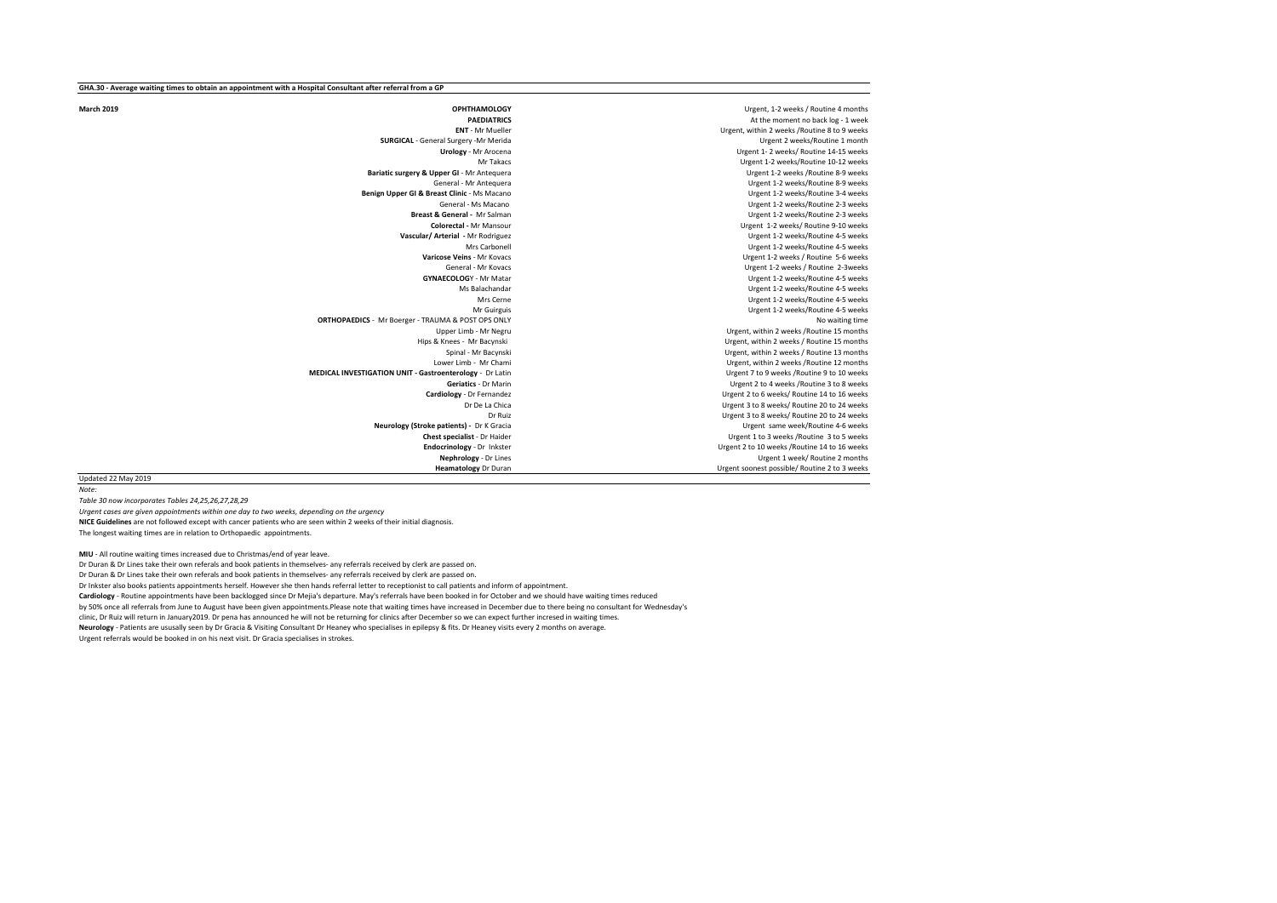**March 2019 OPHTHAMOLOGY** Urgent, 1-2 weeks / Routine 4 months<br>**DAFDIATRICS DEFINITRICS DESCRIPTION** PAEDIATRICS **PAEDIATRICS** At the moment no back log - 1 week<br>Literature of the moment no back log - 1 weeks **SURGICAL** - General Surgery -Mr Merida<br>**Urology** - Mr Arocena **Bariatic surgery & Upper GI** - Mr Antequera<br>General - Mr Antequera **Benign Upper GI & Breast Clinic - Ms Macano General - Ms Macano** General - Ms Macano Cameral - Ms Macano Cameral - Ms Macano Cameral - Ms Macano Cameral - Ms Macano Cameral - M<br>Urgent 1-2 weeks/Routine 2-3 weeks **Bream - Article Controlleries Act Controlleries Act Colorectal - Mr Salman Development 1-2 weeks/Routine 2-3 weeks<br>Colorectal - Mr Mansour Controlleries Act Controlleries Act Oriented States Act Oriented States Act Orient Vascular/ Arterial - Mr Rodriguez<br>Mrs Carbonell** Mrs Carbonell Material Chrome Controll Urgent 1-2 weeks/Routine 4-5 weeks<br>Urgent 1-2 weeks/Routine 5-6 weeks/ **Se Veins** - Mr Kovacs **Variation Community Community Community Community Community Community Community Community**<br>Sepheral - Mr Kovacs Community Community Community Community Community Community Community Community Commun General - Mr Kovacs General - Mr Kovacs Ceneral - Mr Kovacs Ceneral - Mr Kovacs Ceneral - Mr Kovacs Ceneral - M<br>Grypent 1-2 weeks / Routine 4-5 weeks LOGY - Mr Matar **Cology - Matar Urgent 1-2 weeks/Routine 4-5 weeks**<br>Ms Balachandar **Natar Urgent 1-2 weeks/Routine 4-5 weeks** Mrs Cerne Cerne Urgent 1-2 weeks/Routine 4-5 weeks<br>Mr Guirguis Cerne Urgent 1-2 weeks/Routine 4-5 weeks **ORTHOPAEDICS** - Mr Boerger - TRAUMA & POST OPS ONLY<br>Upper Limb - Mr Negru Upper Limb - Mr Negru Urgent, within 2 weeks /Routine 15 months<br>Urgent, within 2 weeks / Routine 15 months<br>Urgent, within 2 weeks / Routine 15 months nees - Mr Bacynski (nees - Mr Bacynski)<br>The Urgent, within 2 weeks / Routine 13 months<br>Urgent, within 2 weeks / Routine 13 months Lower Limb - Mr Chami **Lower Limb - Mr Chamidation Chamidation** Champions Computer Champions Champions Champions C<br>
Urgent 7 to 9 weeks /Routine 9 to 10 weeks **MEDICAL INVESTIGATION UNIT - Gastroenterology - Dr Latin View Contrology**<br>Geriatics - Dr Marin Geriatics - Dr Marin Care and Care and Care and Care and Care and Care and Care and Care and Care and Care and C<br>Urgent 2 to 6 weeks/ Routine 14 to 16 weeks **Cardiology** - Dr Fernandez Urgent 2 to 6 weeks/ Routine 14 to 16 weeks<br>
Dr De La Chica **Neurology (Stroke patients) -** Dr K Gracia<br>Chest specialist - Dr Haider Endocrinology - Dr Inkster **Endocrinology** - Dr Inkster **Newsell Constant Constant 2 to 10 weeks /Routine 14 to 16 weeks**<br>Urgent 1 week/Routine 2 months **Nephrology** - Dr Lines **Nephrology - Dr Lines** Urgent 1 week/ Routine 2 months<br>
Urgent soonest possible/ Routine 2 to 3 weeks

**Ent, within 2 weeks /Routine 8 to 9 weeks<br>Urgent 2 weeks/Routine 1 month Urology** - Mr Arocena Urgent 1- 2 weeks/ Routine 14-15 weeks Urgent 1-2 weeks/Routine 10-12 weeks Urgent 1-2 weeks/Routine 8-9 weeks<br>Urgent 1-2 weeks/Routine 3-4 weeks **Colorect 1-2 weeks/ Routine 9-10 weeks<br>Lirgent 1-2 weeks/ Routine 4-5 weeks** Urgent 1-2 weeks/Routine 4-5 weeks Urgent 1-2 weeks/Routine 4-5 weeks Urgent, within 2 weeks / Routine 13 months Dr De La Chica Urgent 3 to 8 weeks/ Routine 20 to 24 weeks Urgent 3 to 8 weeks/ Routine 20 to 24 weeks<br>Urgent same week/ Routine 4-6 weeks **Urgent 1 to 3 weeks /Routine 3 to 5 weeks Heart soonest possible/ Routine 2 to 3 weeks** 

Updated 22 May 2019 *Note:* 

*Table 30 now incorporates Tables 24,25,26,27,28,29*

*Urgent cases are given appointments within one day to two weeks, depending on the urgency*

**NICE Guidelines** are not followed except with cancer patients who are seen within 2 weeks of their initial diagnosis. The longest waiting times are in relation to Orthopaedic appointments.

**MIU** - All routine waiting times increased due to Christmas/end of year leave.

Dr Duran & Dr Lines take their own referals and book patients in themselves- any referrals received by clerk are passed on.

Dr Duran & Dr Lines take their own referals and book patients in themselves- any referrals received by clerk are passed on.

Dr Inkster also books patients appointments herself. However she then hands referral letter to receptionist to call patients and inform of appointment.

**Cardiology** - Routine appointments have been backlogged since Dr Mejia's departure. May's referrals have been booked in for October and we should have waiting times reduced

by 50% once all referrals from June to August have been given appointments.Please note that waiting times have increased in December due to there being no consultant for Wednesday's clinic, Dr Ruiz will return in January2019. Dr pena has announced he will not be returning for clinics after December so we can expect further incresed in waiting times.

**Neurology** - Patients are ususally seen by Dr Gracia & Visiting Consultant Dr Heaney who specialises in epilepsy & fits. Dr Heaney visits every 2 months on average.

Urgent referrals would be booked in on his next visit. Dr Gracia specialises in strokes.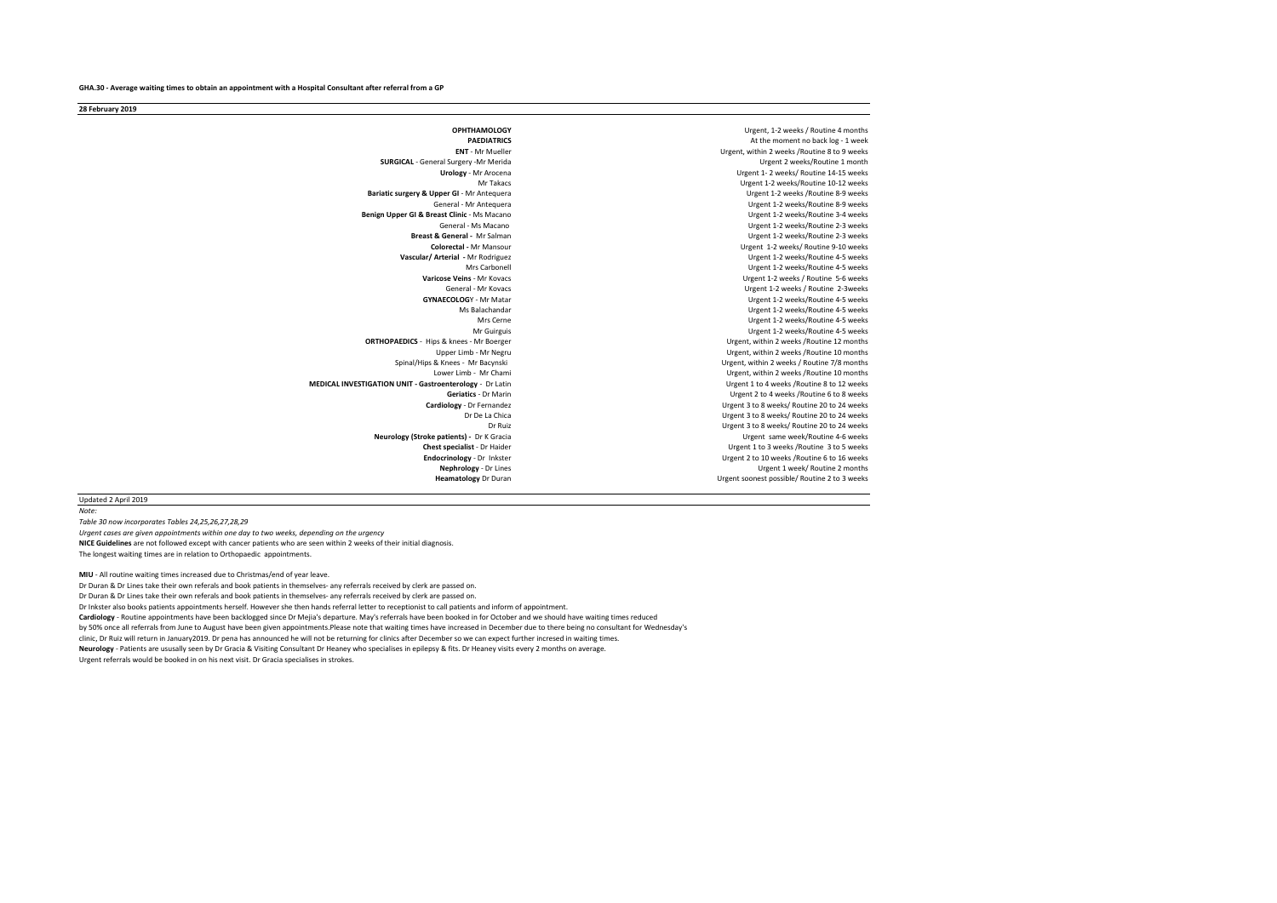**28 February 2019**

**OPHTHAMOLOGY** Urgent, 1-2 weeks / Routine 4 months<br> **DREDIATPICS** PAEDIATRICS **PAEDIATRICS** At the moment no back log - 1 week<br>Literation of the moment no back log - 1 weeks **SURGICAL** - General Surgery -Mr Merida<br>**Urgingy** - Mr Arocena Urgent 1-2 weeks/ Routine 14-15 weeks<br>
Urgent 1-2 weeks/ Routine 14-15 weeks<br>
Urgent 1-2 weeks/ Routine 10-12 weeks **Bariatic surgery & Upper GI** - Mr Antequera<br>General - Mr Antequera **Benign Upper GI & Breast Clinic - Ms Macano General - Ms Macano Breast & General - Mr Salman Colorectal - Mr Salman Colorectal -** Mr Mansour Urgent 1-2 weeks/ Routine 9-10 weeks **Vascular/ Arterial -** Mr Rodriguez Urgent 1-2 weeks/Routine 4-5 weeks Mrs Carbonell Mrs Carbonel Mrs Carbonel Mrs Carbonel Devels (Routine 4-5 weeks/Routine 4-5 weeks/<br>Maricose Veins - Mr Kovacs Natione 3-6 weeks/Routine 5-6 weeks/Routine 5-6 weeks **Se Veins** - Mr Kovacs **Variet 2-8 weeks / Routine 5-6 weeks / Routine 5-6 weeks / Routine 5-6 weeks / Routine 2-3 weeks / Routine 2-3 weeks / Routine 2-3 weeks / Routine 2-3 weeks / Routine 2-3 weeks / Routine 2-3 weeks /** General - Mr Kovacs **General - Mr Kovacs** General - Mr Kovacs **Urgent 1-2 weeks / Routine 2-3weeks** / General - Mr Kovacs **GYNAFCOI OG**Y - Mr Matar **COVACS** CONSISTENT OF A LIFE OF A LIFE OF A LIFE OF A LIFE OF A LIFE OF A **LOG**Y - Mr Matar **COLOGY** - Mr Matar Urgent 1-2 weeks/Routine 4-5 weeks<br>Ms Balachandar **Urgent 1-2 weeks/Routine 4-5 weeks** Max Balachandar **Max Balachandar** Urgent 1-2 weeks/Routine 4-5 weeks<br>Max Corpo Mrs Cerne Cerne Urgent 1-2 weeks/Routine 4-5 weeks<br>Mr Guirguis Cerne Urgent 1-2 weeks/Routine 4-5 weeks Urgent 1-2 weeks/Routine 4-5 weeks<br>ORTHOPAEDICS - Hins & knees - Mr Roerger Manageric Section 10 months (Urgent within 2 weeks/Routine 12 months ps & knees - Mr Boerger **Chapter Communist Communist Communist Communist Communist Communist Communist Communist**<br>Primate Urgent, Within 2 weeks /Routine 10 months Spinal/Hips & Knees - Mr Bacynski Spinal/Hips & Knees - Mr Bacynski Urgent, within 2 weeks / Routine 7/8 months<br>Lower Limb - Mr Chami Spinal Altamine and the Urgent, within 2 weeks / Routine 10 months **MEDICAL INVESTIGATION UNIT - Gastroenterology - Dr Latin URGENT 1 CONCERTS Cardiology** - Dr Fernandez **Cardiology** - Dr Fernandez **Dramation Cardiology** - Dr De La Chica<br>Dr De La Chica **Dr Cardiology** - Dr De La Chica **Dr Cardiology** - Dr De La Chica **Dr Cardiology** - Dr De La Chica La Chica Urgent 3 to 8 weeks/ Routine 20 to 24 weeks<br>
Dr Buiz<br>
Urgent 3 to 8 weeks/ Routine 20 to 24 weeks **Neurology (Stroke patients) - Dr K Gracia Chest specialist** - Dr Haider **Chest specialist** - Dr Haider **Chest Specialist** - Dr Haider **Chest** Specialist - Dr Haider **Endocrinology** - Dr Inkster **Channel 2 to 20 weeks /Routine 6 to 16 weeks Endocrinology** - Dr Inkster **Endocrinology** - Dr Inkster Urgent 2 to 10 weeks /Routine 6 to 16 weeks<br>**Nephrology** - Dr Lines **Urgent 1 week/Routine 2 months Nephrology** - Dr Lines **Nephrology - Dr Lines** Urgent 1 week/ Routine 2 months<br>Heamatology Dr Duran **New Street Constant Constant Urgent** Soonest possible/ Routine 2 to 3 weeks

**Ent, within 2 weeks /Routine 8 to 9 weeks<br>Urgent 2 weeks/Routine 1 month** Urgent 1-2 weeks/Routine 10-12 weeks Urgent 1-2 weeks/Routine 8-9 weeks<br>Urgent 1-2 weeks/Routine 3-4 weeks Urgent 1-2 weeks/Routine 2-3 weeks<br>Urgent 1-2 weeks/Routine 2-3 weeks Urgent, within 2 weeks /Routine 10 months Urgent, within 2 weeks /Routine 10 months<br>Urgent 1 to 4 weeks /Routine 8 to 12 weeks **Geriatics** - Dr Marin Urgent 2 to 4 weeks /Routine 6 to 8 weeks Urgent 3 to 8 weeks/ Routine 20 to 24 weeks<br>Urgent same week/ Routine 4-6 weeks **Urgent soonest possible/ Routine 2 to 3 weeks** 

# Updated 2 April 2019

*Note:* 

*Table 30 now incorporates Tables 24,25,26,27,28,29* **NICE Guidelines** are not followed except with cancer patients who are seen within 2 weeks of their initial diagnosis. The longest waiting times are in relation to Orthopaedic appointments. *Urgent cases are given appointments within one day to two weeks, depending on the urgency*

**MIU** - All routine waiting times increased due to Christmas/end of year leave.

Dr Duran & Dr Lines take their own referals and book patients in themselves- any referrals received by clerk are passed on.

Dr Duran & Dr Lines take their own referals and book patients in themselves- any referrals received by clerk are passed on.

Dr Inkster also books patients appointments herself. However she then hands referral letter to receptionist to call patients and inform of appointment.

**Cardiology** - Routine appointments have been backlogged since Dr Mejia's departure. May's referrals have been booked in for October and we should have waiting times reduced

by 50% once all referrals from June to August have been given appointments.Please note that waiting times have increased in December due to there being no consultant for Wednesday's

clinic, Dr Ruiz will return in January2019. Dr pena has announced he will not be returning for clinics after December so we can expect further incresed in waiting times.

**Neurology** - Patients are ususally seen by Dr Gracia & Visiting Consultant Dr Heaney who specialises in epilepsy & fits. Dr Heaney visits every 2 months on average. Urgent referrals would be booked in on his next visit. Dr Gracia specialises in strokes.